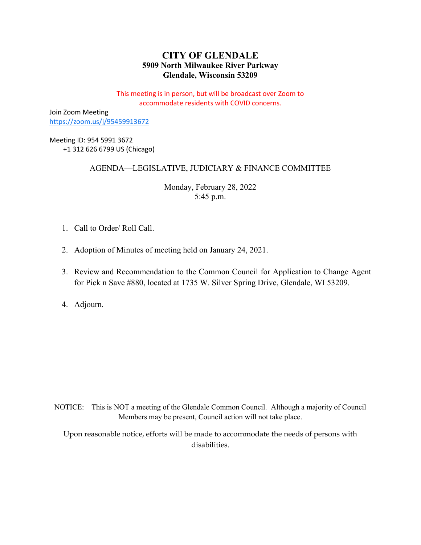# **CITY OF GLENDALE 5909 North Milwaukee River Parkway Glendale, Wisconsin 53209**

This meeting is in person, but will be broadcast over Zoom to accommodate residents with COVID concerns.

Join Zoom Meeting <https://zoom.us/j/95459913672>

Meeting ID: 954 5991 3672 +1 312 626 6799 US (Chicago)

# AGENDA—LEGISLATIVE, JUDICIARY & FINANCE COMMITTEE

Monday, February 28, 2022 5:45 p.m.

- 1. Call to Order/ Roll Call.
- 2. Adoption of Minutes of meeting held on January 24, 2021.
- 3. Review and Recommendation to the Common Council for Application to Change Agent for Pick n Save #880, located at 1735 W. Silver Spring Drive, Glendale, WI 53209.

4. Adjourn.

NOTICE: This is NOT a meeting of the Glendale Common Council. Although a majority of Council Members may be present, Council action will not take place.

Upon reasonable notice, efforts will be made to accommodate the needs of persons with disabilities.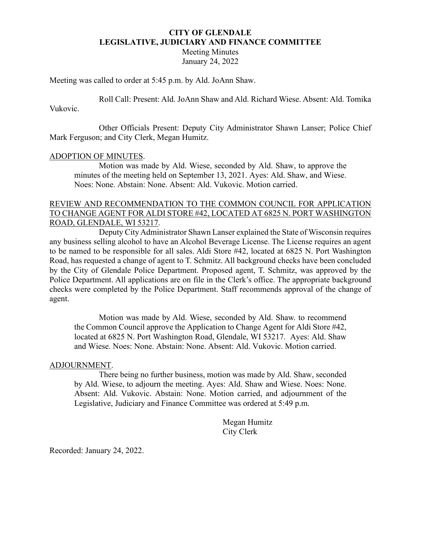### **CITY OF GLENDALE LEGISLATIVE, JUDICIARY AND FINANCE COMMITTEE**

Meeting Minutes January 24, 2022

Meeting was called to order at 5:45 p.m. by Ald. JoAnn Shaw.

Roll Call: Present: Ald. JoAnn Shaw and Ald. Richard Wiese. Absent: Ald. Tomika Vukovic.

Other Officials Present: Deputy City Administrator Shawn Lanser; Police Chief Mark Ferguson; and City Clerk, Megan Humitz.

#### ADOPTION OF MINUTES.

Motion was made by Ald. Wiese, seconded by Ald. Shaw, to approve the minutes of the meeting held on September 13, 2021. Ayes: Ald. Shaw, and Wiese. Noes: None. Abstain: None. Absent: Ald. Vukovic. Motion carried.

# REVIEW AND RECOMMENDATION TO THE COMMON COUNCIL FOR APPLICATION TO CHANGE AGENT FOR ALDI STORE #42, LOCATED AT 6825 N. PORT WASHINGTON ROAD, GLENDALE, WI 53217.

Deputy City Administrator Shawn Lanser explained the State of Wisconsin requires any business selling alcohol to have an Alcohol Beverage License. The License requires an agent to be named to be responsible for all sales. Aldi Store #42, located at 6825 N. Port Washington Road, has requested a change of agent to T. Schmitz. All background checks have been concluded by the City of Glendale Police Department. Proposed agent, T. Schmitz, was approved by the Police Department. All applications are on file in the Clerk's office. The appropriate background checks were completed by the Police Department. Staff recommends approval of the change of agent.

Motion was made by Ald. Wiese, seconded by Ald. Shaw. to recommend the Common Council approve the Application to Change Agent for Aldi Store #42, located at 6825 N. Port Washington Road, Glendale, WI 53217. Ayes: Ald. Shaw and Wiese. Noes: None. Abstain: None. Absent: Ald. Vukovic. Motion carried.

#### ADJOURNMENT.

There being no further business, motion was made by Ald. Shaw, seconded by Ald. Wiese, to adjourn the meeting. Ayes: Ald. Shaw and Wiese. Noes: None. Absent: Ald. Vukovic. Abstain: None. Motion carried, and adjournment of the Legislative, Judiciary and Finance Committee was ordered at 5:49 p.m.

> Megan Humitz City Clerk

Recorded: January 24, 2022.